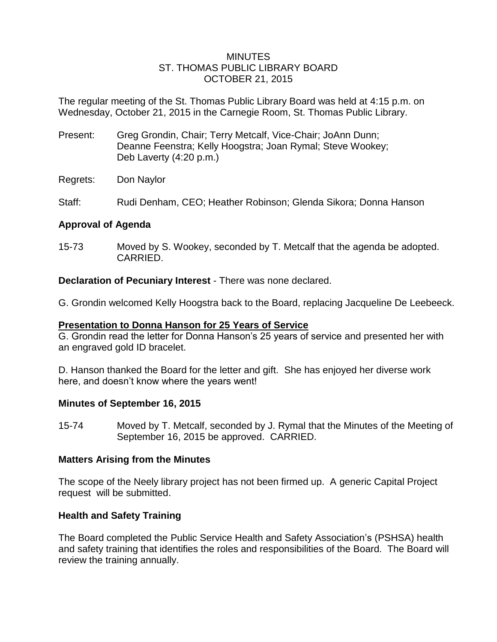### MINUTES ST. THOMAS PUBLIC LIBRARY BOARD OCTOBER 21, 2015

The regular meeting of the St. Thomas Public Library Board was held at 4:15 p.m. on Wednesday, October 21, 2015 in the Carnegie Room, St. Thomas Public Library.

- Present: Greg Grondin, Chair; Terry Metcalf, Vice-Chair; JoAnn Dunn; Deanne Feenstra; Kelly Hoogstra; Joan Rymal; Steve Wookey; Deb Laverty (4:20 p.m.)
- Regrets: Don Naylor
- Staff: Rudi Denham, CEO; Heather Robinson; Glenda Sikora; Donna Hanson

# **Approval of Agenda**

15-73 Moved by S. Wookey, seconded by T. Metcalf that the agenda be adopted. CARRIED.

**Declaration of Pecuniary Interest** - There was none declared.

G. Grondin welcomed Kelly Hoogstra back to the Board, replacing Jacqueline De Leebeeck.

## **Presentation to Donna Hanson for 25 Years of Service**

G. Grondin read the letter for Donna Hanson's 25 years of service and presented her with an engraved gold ID bracelet.

D. Hanson thanked the Board for the letter and gift. She has enjoyed her diverse work here, and doesn't know where the years went!

### **Minutes of September 16, 2015**

15-74 Moved by T. Metcalf, seconded by J. Rymal that the Minutes of the Meeting of September 16, 2015 be approved. CARRIED.

# **Matters Arising from the Minutes**

The scope of the Neely library project has not been firmed up. A generic Capital Project request will be submitted.

# **Health and Safety Training**

The Board completed the Public Service Health and Safety Association's (PSHSA) health and safety training that identifies the roles and responsibilities of the Board. The Board will review the training annually.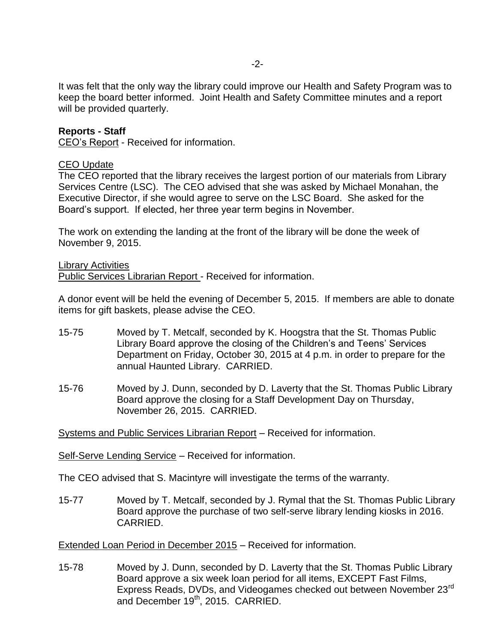It was felt that the only way the library could improve our Health and Safety Program was to keep the board better informed. Joint Health and Safety Committee minutes and a report will be provided quarterly.

### **Reports - Staff**

CEO's Report - Received for information.

#### CEO Update

The CEO reported that the library receives the largest portion of our materials from Library Services Centre (LSC). The CEO advised that she was asked by Michael Monahan, the Executive Director, if she would agree to serve on the LSC Board. She asked for the Board's support. If elected, her three year term begins in November.

The work on extending the landing at the front of the library will be done the week of November 9, 2015.

Library Activities Public Services Librarian Report - Received for information.

A donor event will be held the evening of December 5, 2015. If members are able to donate items for gift baskets, please advise the CEO.

- 15-75 Moved by T. Metcalf, seconded by K. Hoogstra that the St. Thomas Public Library Board approve the closing of the Children's and Teens' Services Department on Friday, October 30, 2015 at 4 p.m. in order to prepare for the annual Haunted Library. CARRIED.
- 15-76 Moved by J. Dunn, seconded by D. Laverty that the St. Thomas Public Library Board approve the closing for a Staff Development Day on Thursday, November 26, 2015. CARRIED.

Systems and Public Services Librarian Report – Received for information.

Self-Serve Lending Service – Received for information.

The CEO advised that S. Macintyre will investigate the terms of the warranty.

15-77 Moved by T. Metcalf, seconded by J. Rymal that the St. Thomas Public Library Board approve the purchase of two self-serve library lending kiosks in 2016. CARRIED.

Extended Loan Period in December 2015 – Received for information.

15-78 Moved by J. Dunn, seconded by D. Laverty that the St. Thomas Public Library Board approve a six week loan period for all items, EXCEPT Fast Films, Express Reads, DVDs, and Videogames checked out between November 23rd and December 19<sup>th</sup>, 2015. CARRIED.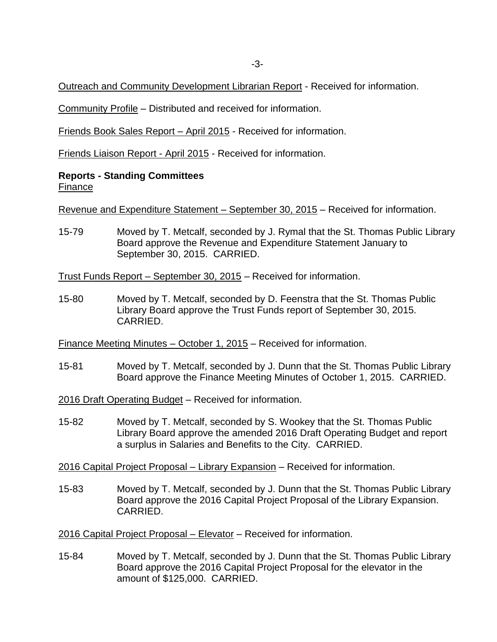Outreach and Community Development Librarian Report - Received for information.

Community Profile – Distributed and received for information.

Friends Book Sales Report – April 2015 - Received for information.

Friends Liaison Report - April 2015 - Received for information.

### **Reports - Standing Committees** Finance

Revenue and Expenditure Statement – September 30, 2015 – Received for information.

15-79 Moved by T. Metcalf, seconded by J. Rymal that the St. Thomas Public Library Board approve the Revenue and Expenditure Statement January to September 30, 2015. CARRIED.

Trust Funds Report – September 30, 2015 – Received for information.

15-80 Moved by T. Metcalf, seconded by D. Feenstra that the St. Thomas Public Library Board approve the Trust Funds report of September 30, 2015. CARRIED.

Finance Meeting Minutes – October 1, 2015 – Received for information.

15-81 Moved by T. Metcalf, seconded by J. Dunn that the St. Thomas Public Library Board approve the Finance Meeting Minutes of October 1, 2015. CARRIED.

2016 Draft Operating Budget – Received for information.

15-82 Moved by T. Metcalf, seconded by S. Wookey that the St. Thomas Public Library Board approve the amended 2016 Draft Operating Budget and report a surplus in Salaries and Benefits to the City. CARRIED.

2016 Capital Project Proposal – Library Expansion – Received for information.

15-83 Moved by T. Metcalf, seconded by J. Dunn that the St. Thomas Public Library Board approve the 2016 Capital Project Proposal of the Library Expansion. CARRIED.

2016 Capital Project Proposal – Elevator – Received for information.

15-84 Moved by T. Metcalf, seconded by J. Dunn that the St. Thomas Public Library Board approve the 2016 Capital Project Proposal for the elevator in the amount of \$125,000. CARRIED.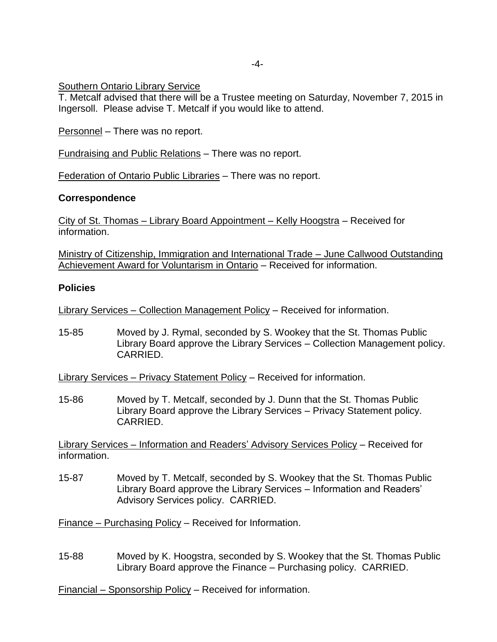## Southern Ontario Library Service

T. Metcalf advised that there will be a Trustee meeting on Saturday, November 7, 2015 in Ingersoll. Please advise T. Metcalf if you would like to attend.

Personnel – There was no report.

Fundraising and Public Relations – There was no report.

Federation of Ontario Public Libraries – There was no report.

### **Correspondence**

City of St. Thomas – Library Board Appointment – Kelly Hoogstra – Received for information.

Ministry of Citizenship, Immigration and International Trade – June Callwood Outstanding Achievement Award for Voluntarism in Ontario – Received for information.

### **Policies**

Library Services – Collection Management Policy – Received for information.

15-85 Moved by J. Rymal, seconded by S. Wookey that the St. Thomas Public Library Board approve the Library Services – Collection Management policy. CARRIED.

Library Services – Privacy Statement Policy – Received for information.

15-86 Moved by T. Metcalf, seconded by J. Dunn that the St. Thomas Public Library Board approve the Library Services – Privacy Statement policy. CARRIED.

Library Services – Information and Readers' Advisory Services Policy – Received for information.

15-87 Moved by T. Metcalf, seconded by S. Wookey that the St. Thomas Public Library Board approve the Library Services – Information and Readers' Advisory Services policy. CARRIED.

Finance – Purchasing Policy – Received for Information.

15-88 Moved by K. Hoogstra, seconded by S. Wookey that the St. Thomas Public Library Board approve the Finance – Purchasing policy. CARRIED.

Financial – Sponsorship Policy – Received for information.